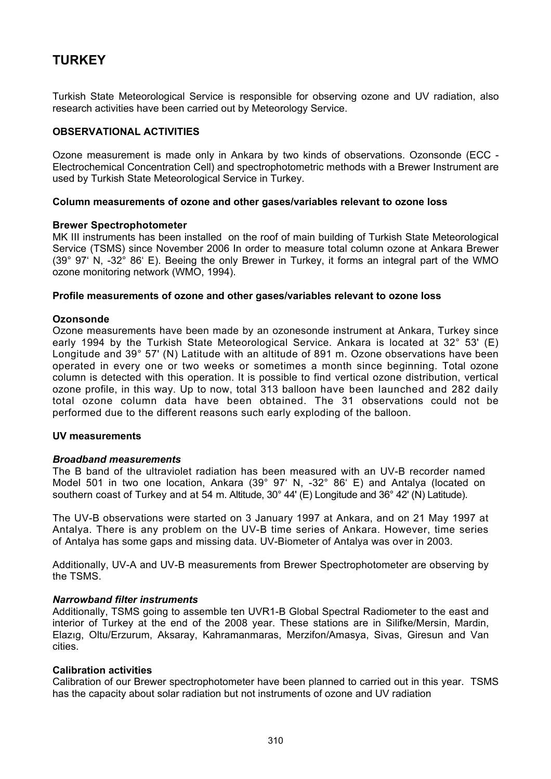# **TURKEY**

Turkish State Meteorological Service is responsible for observing ozone and UV radiation, also research activities have been carried out by Meteorology Service.

## **OBSERVATIONAL ACTIVITIES**

Ozone measurement is made only in Ankara by two kinds of observations. Ozonsonde (ECC - Electrochemical Concentration Cell) and spectrophotometric methods with a Brewer Instrument are used by Turkish State Meteorological Service in Turkey.

## **Column measurements of ozone and other gases/variables relevant to ozone loss**

## **Brewer Spectrophotometer**

MK III instruments has been installed on the roof of main building of Turkish State Meteorological Service (TSMS) since November 2006 In order to measure total column ozone at Ankara Brewer (39° 97' N, -32° 86' E). Beeing the only Brewer in Turkey, it forms an integral part of the WMO ozone monitoring network (WMO, 1994).

## **Profile measurements of ozone and other gases/variables relevant to ozone loss**

## **Ozonsonde**

Ozone measurements have been made by an ozonesonde instrument at Ankara, Turkey since early 1994 by the Turkish State Meteorological Service. Ankara is located at 32° 53' (E) Longitude and 39° 57' (N) Latitude with an altitude of 891 m. Ozone observations have been operated in every one or two weeks or sometimes a month since beginning. Total ozone column is detected with this operation. It is possible to find vertical ozone distribution, vertical ozone profile, in this way. Up to now, total 313 balloon have been launched and 282 daily total ozone column data have been obtained. The 31 observations could not be performed due to the different reasons such early exploding of the balloon.

## **UV measurements**

## *Broadband measurements*

The B band of the ultraviolet radiation has been measured with an UV-B recorder named Model 501 in two one location, Ankara (39° 97' N, -32° 86' E) and Antalya (located on southern coast of Turkey and at 54 m. Altitude, 30° 44' (E) Longitude and 36° 42' (N) Latitude).

The UV-B observations were started on 3 January 1997 at Ankara, and on 21 May 1997 at Antalya. There is any problem on the UV-B time series of Ankara. However, time series of Antalya has some gaps and missing data. UV-Biometer of Antalya was over in 2003.

Additionally, UV-A and UV-B measurements from Brewer Spectrophotometer are observing by the TSMS.

## *Narrowband filter instruments*

Additionally, TSMS going to assemble ten UVR1-B Global Spectral Radiometer to the east and interior of Turkey at the end of the 2008 year. These stations are in Silifke/Mersin, Mardin, Elazıg, Oltu/Erzurum, Aksaray, Kahramanmaras, Merzifon/Amasya, Sivas, Giresun and Van cities.

## **Calibration activities**

Calibration of our Brewer spectrophotometer have been planned to carried out in this year. TSMS has the capacity about solar radiation but not instruments of ozone and UV radiation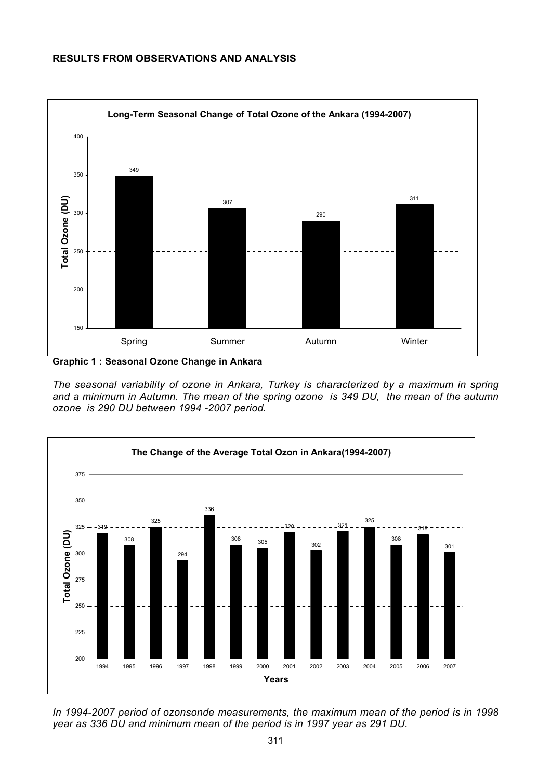# **RESULTS FROM OBSERVATIONS AND ANALYSIS**



**Graphic 1 : Seasonal Ozone Change in Ankara** 

*The seasonal variability of ozone in Ankara, Turkey is characterized by a maximum in spring and a minimum in Autumn. The mean of the spring ozone is 349 DU, the mean of the autumn ozone is 290 DU between 1994 -2007 period.* 



*In 1994-2007 period of ozonsonde measurements, the maximum mean of the period is in 1998 year as 336 DU and minimum mean of the period is in 1997 year as 291 DU.*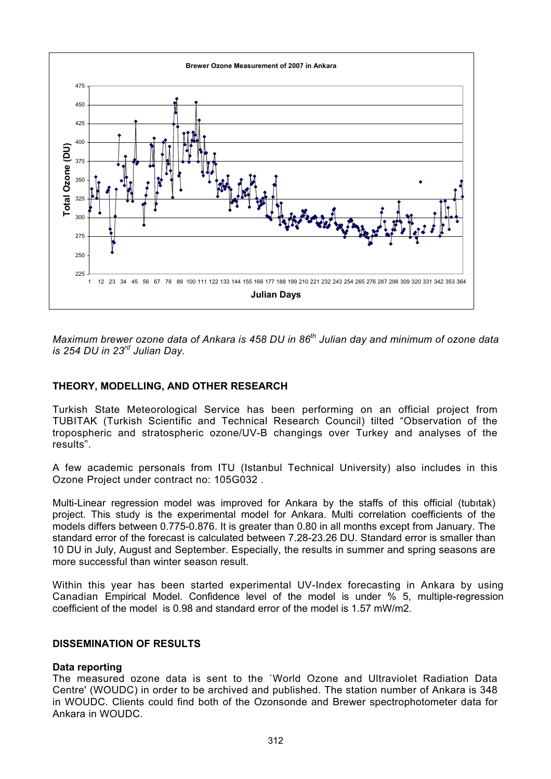

*Maximum brewer ozone data of Ankara is 458 DU in 86th Julian day and minimum of ozone data is 254 DU in 23rd Julian Day.* 

# **THEORY, MODELLING, AND OTHER RESEARCH**

Turkish State Meteorological Service has been performing on an official project from TUBITAK (Turkish Scientific and Technical Research Council) tilted "Observation of the tropospheric and stratospheric ozone/UV-B changings over Turkey and analyses of the results".

A few academic personals from ITU (Istanbul Technical University) also includes in this Ozone Project under contract no: 105G032 .

Multi-Linear regression model was improved for Ankara by the staffs of this official (tubıtak) project. This study is the experimental model for Ankara. Multi correlation coefficients of the models differs between 0.775-0.876. It is greater than 0.80 in all months except from January. The standard error of the forecast is calculated between 7.28-23.26 DU. Standard error is smaller than 10 DU in July, August and September. Especially, the results in summer and spring seasons are more successful than winter season result.

Within this year has been started experimental UV-Index forecasting in Ankara by using Canadian Empirical Model. Confidence level of the model is under % 5, multiple-regression coefficient of the model is 0.98 and standard error of the model is 1.57 mW/m2.

# **DISSEMINATION OF RESULTS**

## **Data reporting**

The measured ozone data is sent to the `World Ozone and Ultraviolet Radiation Data Centre' (WOUDC) in order to be archived and published. The station number of Ankara is 348 in WOUDC. Clients could find both of the Ozonsonde and Brewer spectrophotometer data for Ankara in WOUDC.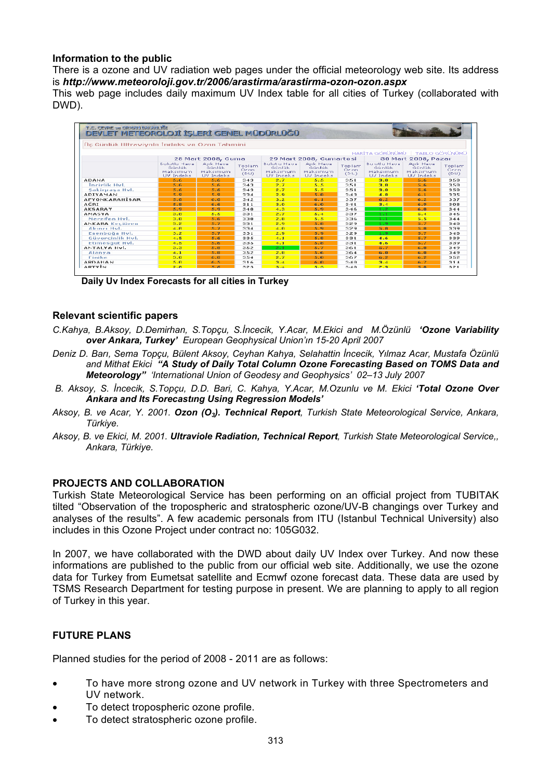# **Information to the public**

There is a ozone and UV radiation web pages under the official meteorology web site. Its address is *http://www.meteoroloji.gov.tr/2006/arastirma/arastirma-ozon-ozon.aspx*

This web page includes daily maximum UV Index table for all cities of Turkey (collaborated with DWD).



**Daily Uv Index Forecasts for all cities in Turkey** 

## **Relevant scientific papers**

- *C.Kahya, B.Aksoy, D.Demirhan, S.Topçu, S.İncecik, Y.Acar, M.Ekici and M.Özünlü 'Ozone Variability over Ankara, Turkey' European Geophysical Union'ın 15-20 April 2007*
- *Deniz D. Barı, Sema Topçu, Bülent Aksoy, Ceyhan Kahya, Selahattin İncecik, Yılmaz Acar, Mustafa Özünlü and Mithat Ekici "A Study of Daily Total Column Ozone Forecasting Based on TOMS Data and Meteorology" 'International Union of Geodesy and Geophysics' 02–13 July 2007*
- *B. Aksoy, S. İncecik, S.Topçu, D.D. Bari, C. Kahya, Y.Acar, M.Ozunlu ve M. Ekici 'Total Ozone Over Ankara and Its Forecastıng Using Regression Models'*
- *Aksoy, B. ve Acar, Y. 2001. Ozon (O3). Technical Report, Turkish State Meteorological Service, Ankara, Türkiye.*
- *Aksoy, B. ve Ekici, M. 2001. Ultraviole Radiation, Technical Report, Turkish State Meteorological Service,, Ankara, Türkiye.*

# **PROJECTS AND COLLABORATION**

Turkish State Meteorological Service has been performing on an official project from TUBITAK tilted "Observation of the tropospheric and stratospheric ozone/UV-B changings over Turkey and analyses of the results". A few academic personals from ITU (Istanbul Technical University) also includes in this Ozone Project under contract no: 105G032.

In 2007, we have collaborated with the DWD about daily UV Index over Turkey. And now these informations are published to the public from our official web site. Additionally, we use the ozone data for Turkey from Eumetsat satellite and Ecmwf ozone forecast data. These data are used by TSMS Research Department for testing purpose in present. We are planning to apply to all region of Turkey in this year.

# **FUTURE PLANS**

Planned studies for the period of 2008 - 2011 are as follows:

- To have more strong ozone and UV network in Turkey with three Spectrometers and UV network.
- To detect tropospheric ozone profile.
- To detect stratospheric ozone profile.